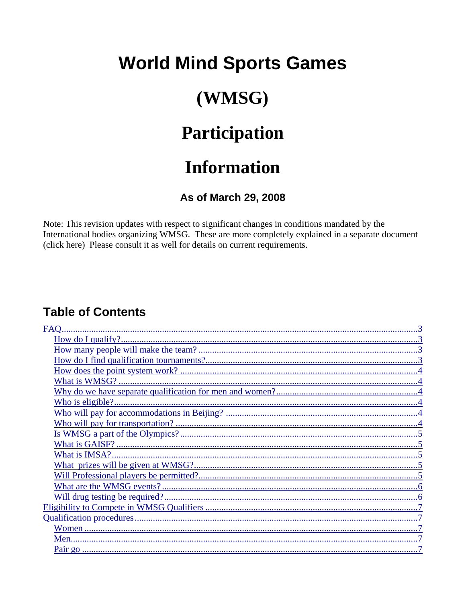## **World Mind Sports Games**

## (WMSG)

## Participation

## **Information**

## As of March 29, 2008

Note: This revision updates with respect to significant changes in conditions mandated by the International bodies organizing WMSG. These are more completely explained in a separate document (click here) Please consult it as well for details on current requirements.

## **Table of Contents**

| <b>FAO</b> |
|------------|
|            |
|            |
|            |
|            |
|            |
|            |
|            |
|            |
|            |
|            |
|            |
|            |
|            |
|            |
|            |
|            |
|            |
|            |
|            |
|            |
|            |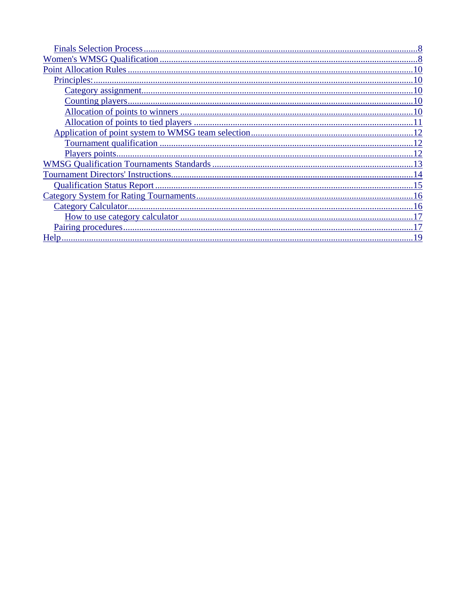| Qualification Status Report |
|-----------------------------|
|                             |
|                             |
|                             |
|                             |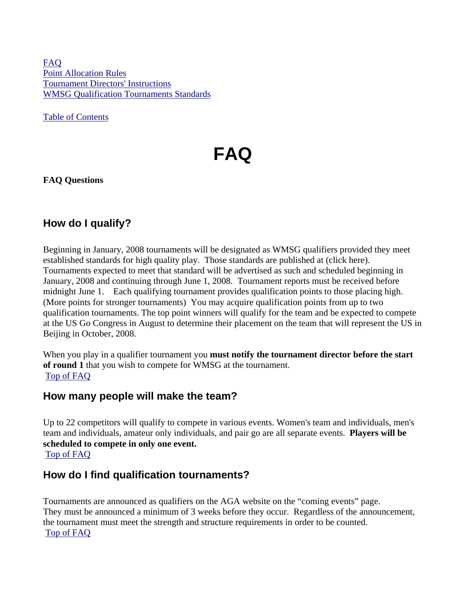[FAQ](#page-2-0) [Point Allocation Rules](#page-2-0) [Tournament Directors' Instructions](#page-2-0) [WMSG Qualification Tournaments Standards](#page-2-0)

[Table of Contents](#page-2-0)

# **FAQ**

<span id="page-2-0"></span>**FAQ Questions**

## **How do I qualify?**

Beginning in January, 2008 tournaments will be designated as WMSG qualifiers provided they meet established standards for high quality play. Those standards are published at (click here). Tournaments expected to meet that standard will be advertised as such and scheduled beginning in January, 2008 and continuing through June 1, 2008. Tournament reports must be received before midnight June 1. Each qualifying tournament provides qualification points to those placing high. (More points for stronger tournaments) You may acquire qualification points from up to two qualification tournaments. The top point winners will qualify for the team and be expected to compete at the US Go Congress in August to determine their placement on the team that will represent the US in Beijing in October, 2008.

When you play in a qualifier tournament you **must notify the tournament director before the start of round 1** that you wish to compete for WMSG at the tournament. [Top of FAQ](#page-2-0)

### **How many people will make the team?**

Up to 22 competitors will qualify to compete in various events. Women's team and individuals, men's team and individuals, amateur only individuals, and pair go are all separate events. **Players will be scheduled to compete in only one event.** [Top of FAQ](#page-2-0)

### **How do I find qualification tournaments?**

Tournaments are announced as qualifiers on the AGA website on the "coming events" page. They must be announced a minimum of 3 weeks before they occur. Regardless of the announcement, the tournament must meet the strength and structure requirements in order to be counted. [Top of FAQ](#page-2-0)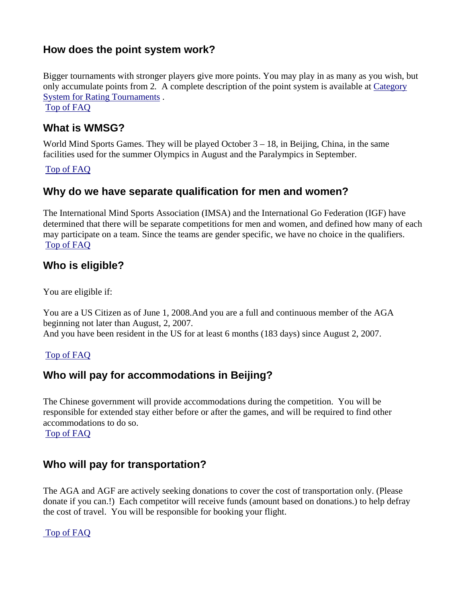## **How does the point system work?**

Bigger tournaments with stronger players give more points. You may play in as many as you wish, but only accumulate points from 2*.* A complete description of the point system is available at [Category](#page-2-0) [System for Rating Tournaments](#page-2-0) .

[Top of FAQ](#page-2-0)

### **What is WMSG?**

World Mind Sports Games. They will be played October  $3 - 18$ , in Beijing, China, in the same facilities used for the summer Olympics in August and the Paralympics in September.

#### [Top of FAQ](#page-2-0)

## **Why do we have separate qualification for men and women?**

The International Mind Sports Association (IMSA) and the International Go Federation (IGF) have determined that there will be separate competitions for men and women, and defined how many of each may participate on a team. Since the teams are gender specific, we have no choice in the qualifiers. [Top of FAQ](#page-2-0)

### **Who is eligible?**

You are eligible if:

You are a US Citizen as of June 1, 2008.And you are a full and continuous member of the AGA beginning not later than August, 2, 2007.

And you have been resident in the US for at least 6 months (183 days) since August 2, 2007.

#### [Top of FAQ](#page-2-0)

### **Who will pay for accommodations in Beijing?**

The Chinese government will provide accommodations during the competition. You will be responsible for extended stay either before or after the games, and will be required to find other accommodations to do so.

[Top of FAQ](#page-2-0)

### **Who will pay for transportation?**

The AGA and AGF are actively seeking donations to cover the cost of transportation only. (Please donate if you can.!) Each competitor will receive funds (amount based on donations.) to help defray the cost of travel. You will be responsible for booking your flight.

#### [Top of FAQ](#page-2-0)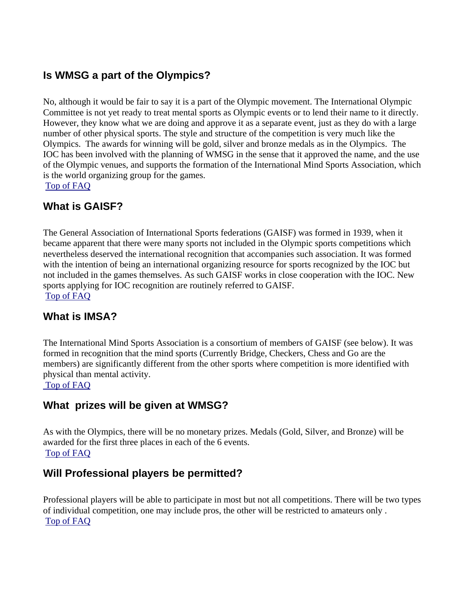### **Is WMSG a part of the Olympics?**

No, although it would be fair to say it is a part of the Olympic movement. The International Olympic Committee is not yet ready to treat mental sports as Olympic events or to lend their name to it directly. However, they know what we are doing and approve it as a separate event, just as they do with a large number of other physical sports. The style and structure of the competition is very much like the Olympics. The awards for winning will be gold, silver and bronze medals as in the Olympics. The IOC has been involved with the planning of WMSG in the sense that it approved the name, and the use of the Olympic venues, and supports the formation of the International Mind Sports Association, which is the world organizing group for the games.

[Top of FAQ](#page-2-0)

### **What is GAISF?**

The General Association of International Sports federations (GAISF) was formed in 1939, when it became apparent that there were many sports not included in the Olympic sports competitions which nevertheless deserved the international recognition that accompanies such association. It was formed with the intention of being an international organizing resource for sports recognized by the IOC but not included in the games themselves. As such GAISF works in close cooperation with the IOC. New sports applying for IOC recognition are routinely referred to GAISF. [Top of FAQ](#page-2-0)

### **What is IMSA?**

The International Mind Sports Association is a consortium of members of GAISF (see below). It was formed in recognition that the mind sports (Currently Bridge, Checkers, Chess and Go are the members) are significantly different from the other sports where competition is more identified with physical than mental activity.

### [Top of FAQ](#page-2-0)

### **What prizes will be given at WMSG?**

As with the Olympics, there will be no monetary prizes. Medals (Gold, Silver, and Bronze) will be awarded for the first three places in each of the 6 events. [Top of FAQ](#page-2-0)

### **Will Professional players be permitted?**

Professional players will be able to participate in most but not all competitions. There will be two types of individual competition, one may include pros, the other will be restricted to amateurs only . [Top of FAQ](#page-2-0)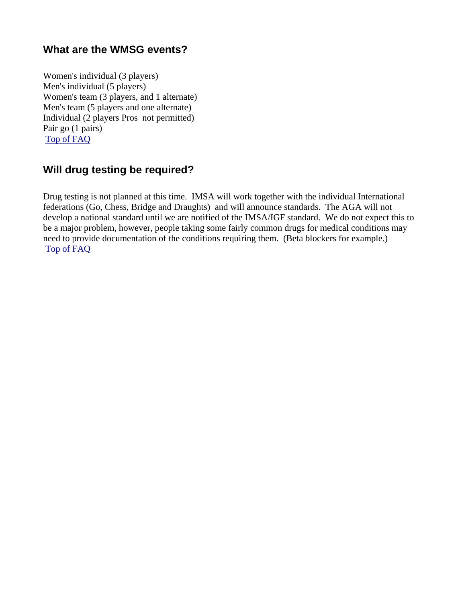## **What are the WMSG events?**

Women's individual (3 players) Men's individual (5 players) Women's team (3 players, and 1 alternate) Men's team (5 players and one alternate) Individual (2 players Pros not permitted) Pair go (1 pairs) [Top of FAQ](#page-2-0)

## **Will drug testing be required?**

Drug testing is not planned at this time. IMSA will work together with the individual International federations (Go, Chess, Bridge and Draughts) and will announce standards. The AGA will not develop a national standard until we are notified of the IMSA/IGF standard. We do not expect this to be a major problem, however, people taking some fairly common drugs for medical conditions may need to provide documentation of the conditions requiring them. (Beta blockers for example.) [Top of FAQ](#page-2-0)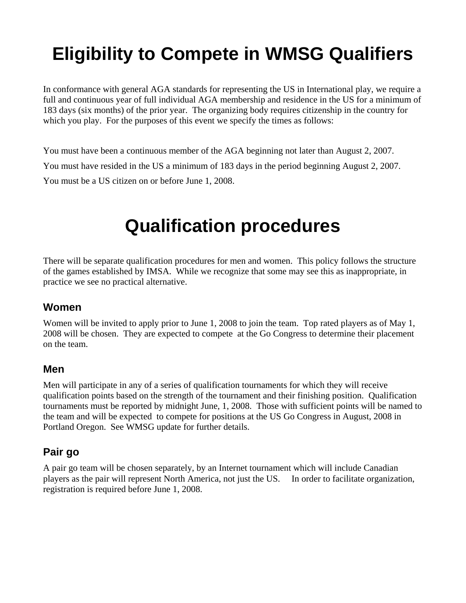# **Eligibility to Compete in WMSG Qualifiers**

In conformance with general AGA standards for representing the US in International play, we require a full and continuous year of full individual AGA membership and residence in the US for a minimum of 183 days (six months) of the prior year. The organizing body requires citizenship in the country for which you play. For the purposes of this event we specify the times as follows:

You must have been a continuous member of the AGA beginning not later than August 2, 2007. You must have resided in the US a minimum of 183 days in the period beginning August 2, 2007. You must be a US citizen on or before June 1, 2008.

## **Qualification procedures**

There will be separate qualification procedures for men and women. This policy follows the structure of the games established by IMSA. While we recognize that some may see this as inappropriate, in practice we see no practical alternative.

### **Women**

Women will be invited to apply prior to June 1, 2008 to join the team. Top rated players as of May 1, 2008 will be chosen. They are expected to compete at the Go Congress to determine their placement on the team.

### **Men**

Men will participate in any of a series of qualification tournaments for which they will receive qualification points based on the strength of the tournament and their finishing position. Qualification tournaments must be reported by midnight June, 1, 2008. Those with sufficient points will be named to the team and will be expected to compete for positions at the US Go Congress in August, 2008 in Portland Oregon. See WMSG update for further details.

### **Pair go**

A pair go team will be chosen separately, by an Internet tournament which will include Canadian players as the pair will represent North America, not just the US. In order to facilitate organization, registration is required before June 1, 2008.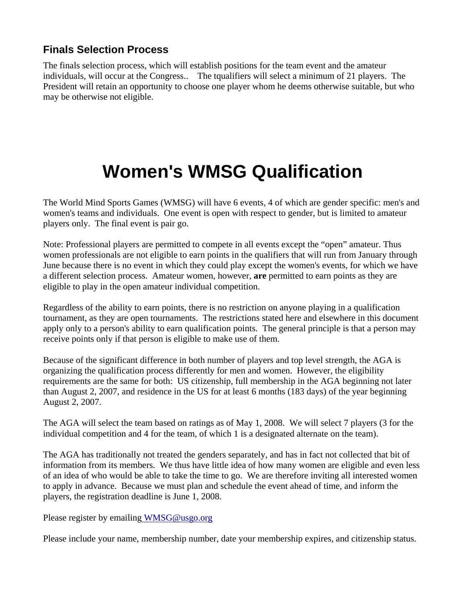## **Finals Selection Process**

The finals selection process, which will establish positions for the team event and the amateur individuals, will occur at the Congress.. The tqualifiers will select a minimum of 21 players. The President will retain an opportunity to choose one player whom he deems otherwise suitable, but who may be otherwise not eligible.

## **Women's WMSG Qualification**

The World Mind Sports Games (WMSG) will have 6 events, 4 of which are gender specific: men's and women's teams and individuals. One event is open with respect to gender, but is limited to amateur players only. The final event is pair go.

Note: Professional players are permitted to compete in all events except the "open" amateur. Thus women professionals are not eligible to earn points in the qualifiers that will run from January through June because there is no event in which they could play except the women's events, for which we have a different selection process. Amateur women, however, **are** permitted to earn points as they are eligible to play in the open amateur individual competition.

Regardless of the ability to earn points, there is no restriction on anyone playing in a qualification tournament, as they are open tournaments. The restrictions stated here and elsewhere in this document apply only to a person's ability to earn qualification points. The general principle is that a person may receive points only if that person is eligible to make use of them.

Because of the significant difference in both number of players and top level strength, the AGA is organizing the qualification process differently for men and women. However, the eligibility requirements are the same for both: US citizenship, full membership in the AGA beginning not later than August 2, 2007, and residence in the US for at least 6 months (183 days) of the year beginning August 2, 2007.

The AGA will select the team based on ratings as of May 1, 2008. We will select 7 players (3 for the individual competition and 4 for the team, of which 1 is a designated alternate on the team).

The AGA has traditionally not treated the genders separately, and has in fact not collected that bit of information from its members. We thus have little idea of how many women are eligible and even less of an idea of who would be able to take the time to go. We are therefore inviting all interested women to apply in advance. Because we must plan and schedule the event ahead of time, and inform the players, the registration deadline is June 1, 2008.

Please register by emailin[g WMSG@usgo.org](mailto:tournaments@usgo.org)

Please include your name, membership number, date your membership expires, and citizenship status.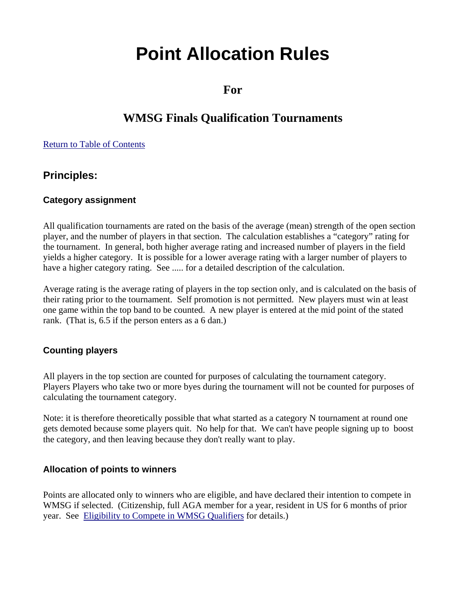## **Point Allocation Rules**

**For**

## **WMSG Finals Qualification Tournaments**

#### Return to Table of Contents

### **Principles:**

### **Category assignment**

All qualification tournaments are rated on the basis of the average (mean) strength of the open section player, and the number of players in that section. The calculation establishes a "category" rating for the tournament. In general, both higher average rating and increased number of players in the field yields a higher category. It is possible for a lower average rating with a larger number of players to have a higher category rating. See ..... for a detailed description of the calculation.

Average rating is the average rating of players in the top section only, and is calculated on the basis of their rating prior to the tournament. Self promotion is not permitted. New players must win at least one game within the top band to be counted. A new player is entered at the mid point of the stated rank. (That is, 6.5 if the person enters as a 6 dan.)

#### **Counting players**

All players in the top section are counted for purposes of calculating the tournament category. Players Players who take two or more byes during the tournament will not be counted for purposes of calculating the tournament category.

Note: it is therefore theoretically possible that what started as a category N tournament at round one gets demoted because some players quit. No help for that. We can't have people signing up to boost the category, and then leaving because they don't really want to play.

#### **Allocation of points to winners**

Points are allocated only to winners who are eligible, and have declared their intention to compete in WMSG if selected. (Citizenship, full AGA member for a year, resident in US for 6 months of prior year. See Eligibility to Compete in WMSG Qualifiers for details.)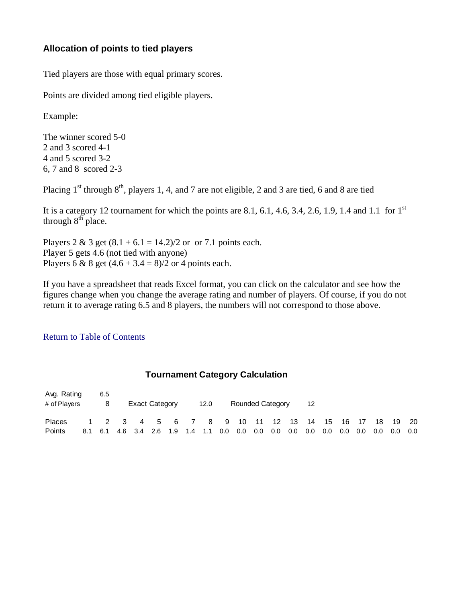### **Allocation of points to tied players**

Tied players are those with equal primary scores.

Points are divided among tied eligible players.

Example:

The winner scored 5-0 2 and 3 scored 4-1 4 and 5 scored 3-2 6, 7 and 8 scored 2-3

Placing  $1^{st}$  through  $8^{th}$ , players 1, 4, and 7 are not eligible, 2 and 3 are tied, 6 and 8 are tied

It is a category 12 tournament for which the points are 8.1, 6.1, 4.6, 3.4, 2.6, 1.9, 1.4 and 1.1 for  $1^{st}$ through  $8<sup>th</sup>$  place.

Players 2 & 3 get  $(8.1 + 6.1 = 14.2)/2$  or or 7.1 points each. Player 5 gets 4.6 (not tied with anyone) Players 6 & 8 get  $(4.6 + 3.4 = 8)/2$  or 4 points each.

If you have a spreadsheet that reads Excel format, you can click on the calculator and see how the figures change when you change the average rating and number of players. Of course, if you do not return it to average rating 6.5 and 8 players, the numbers will not correspond to those above.

Return to Table of Contents

#### **Tournament Category Calculation**

| Avg. Rating<br># of Players |     | 6.5<br>8 |                                        | <b>Exact Category</b> |     |     |     | 12.0 |     |         | <b>Rounded Category</b> |     |         | 12  |     |     |      |     |     |       |
|-----------------------------|-----|----------|----------------------------------------|-----------------------|-----|-----|-----|------|-----|---------|-------------------------|-----|---------|-----|-----|-----|------|-----|-----|-------|
| <b>Places</b>               |     |          | 1 2 3 4 5 6 7 8 9 10 11 12 13 14 15 16 |                       |     |     |     |      |     |         |                         |     |         |     |     |     | - 17 | 18  |     | 19 20 |
| Points                      | 8.1 | 6.1      |                                        | 4.6 3.4               | 2.6 | 1.9 | 1.4 | 1.1  | 0.0 | $0.0\,$ | $0.0\,$                 | 0.0 | $0.0\,$ | 0.0 | 0.0 | 0.0 | 0.0  | 0.0 | 0.0 | 0.0   |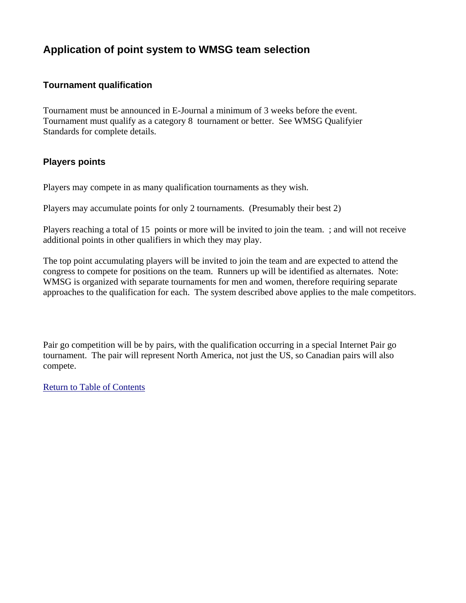## **Application of point system to WMSG team selection**

### **Tournament qualification**

Tournament must be announced in E-Journal a minimum of 3 weeks before the event. Tournament must qualify as a category 8 tournament or better. See WMSG Qualifyier Standards for complete details.

#### **Players points**

Players may compete in as many qualification tournaments as they wish.

Players may accumulate points for only 2 tournaments. (Presumably their best 2)

Players reaching a total of 15 points or more will be invited to join the team. ; and will not receive additional points in other qualifiers in which they may play.

The top point accumulating players will be invited to join the team and are expected to attend the congress to compete for positions on the team. Runners up will be identified as alternates. Note: WMSG is organized with separate tournaments for men and women, therefore requiring separate approaches to the qualification for each. The system described above applies to the male competitors.

Pair go competition will be by pairs, with the qualification occurring in a special Internet Pair go tournament. The pair will represent North America, not just the US, so Canadian pairs will also compete.

Return to Table of Contents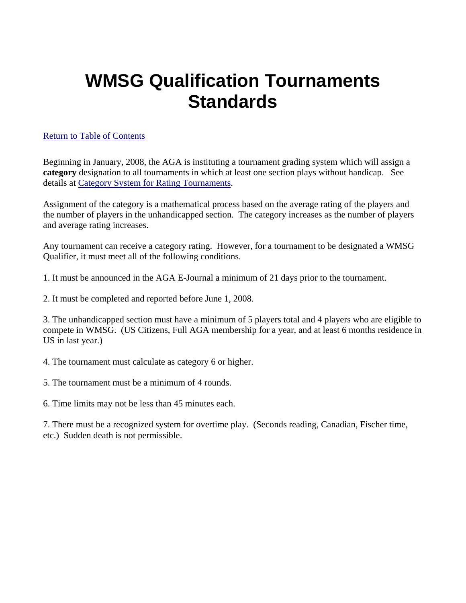## **WMSG Qualification Tournaments Standards**

### Return to Table of Contents

[Be](mailto:operations@usgo.org)ginning in January, 2008, the AGA is instituting a tournament grading system which will assign a **category** designation to all tournaments in which at least one section plays without handicap. See details at Category System for Rating Tournaments.

Assignment of the category is a mathematical process based on the average rating of the players and the number of players in the unhandicapped section. The category increases as the number of players and average rating increases.

Any tournament can receive a category rating. However, for a tournament to be designated a WMSG Qualifier, it must meet all of the following conditions.

1. It must be announced in the AGA E-Journal a minimum of 21 days prior to the tournament.

2. It must be completed and reported before June 1, 2008.

3. The unhandicapped section must have a minimum of 5 players total and 4 players who are eligible to compete in WMSG. (US Citizens, Full AGA membership for a year, and at least 6 months residence in US in last year.)

4. The tournament must calculate as category 6 or higher.

5. The tournament must be a minimum of 4 rounds.

6. Time limits may not be less than 45 minutes each.

7. There must be a recognized system for overtime play. (Seconds reading, Canadian, Fischer time, etc.) Sudden death is not permissible.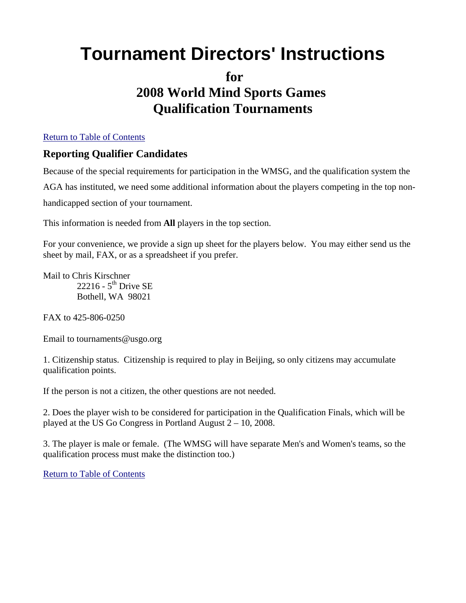## **Tournament Directors' Instructions**

## **for 2008 World Mind Sports Games Qualification Tournaments**

#### Return to Table of Contents

### **Reporting Qualifier Candidates**

Because of the special requirements for participation in the WMSG, and the qualification system the AGA has instituted, we need some additional information about the players competing in the top nonhandicapped section of your tournament.

This information is needed from **All** players in the top section.

For your convenience, we provide a sign up sheet for the players below. You may either send us the sheet by mail, FAX, or as a spreadsheet if you prefer.

Mail to Chris Kirschner 22216 -  $5<sup>th</sup>$  Drive SE Bothell, WA 98021

FAX to 425-806-0250

Email to tournaments@usgo.org

1. Citizenship status. Citizenship is required to play in Beijing, so only citizens may accumulate qualification points.

If the person is not a citizen, the other questions are not needed.

2. Does the player wish to be considered for participation in the Qualification Finals, which will be played at the US Go Congress in Portland August 2 – 10, 2008.

3. The player is male or female. (The WMSG will have separate Men's and Women's teams, so the qualification process must make the distinction too.)

Return to Table of Contents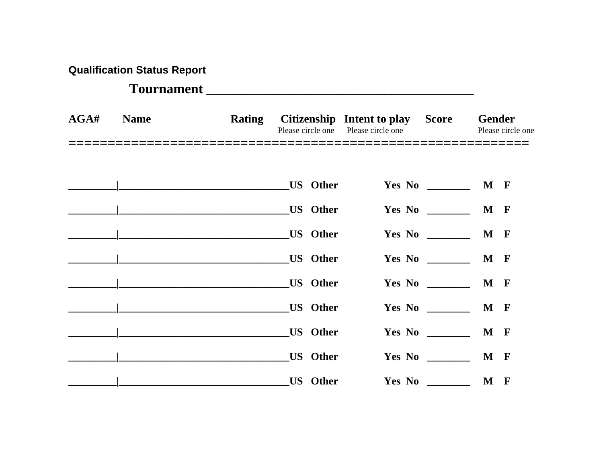| <b>Qualification Status Report</b> |  |  |
|------------------------------------|--|--|
|------------------------------------|--|--|

## **Tournament \_\_\_\_\_\_\_\_\_\_\_\_\_\_\_\_\_\_\_\_\_\_\_\_\_\_\_\_\_\_\_\_\_\_\_\_\_\_\_**

| AGA# | <b>Name</b> |                               |                 | Rating Citizenship Intent to play Score<br>Please circle one Please circle one |                        | <b>Gender</b><br>Please circle one |  |  |  |
|------|-------------|-------------------------------|-----------------|--------------------------------------------------------------------------------|------------------------|------------------------------------|--|--|--|
|      |             |                               |                 |                                                                                |                        |                                    |  |  |  |
|      |             | US Other                      |                 |                                                                                |                        | Yes No __________ M F              |  |  |  |
|      |             | US Other                      |                 |                                                                                |                        | M F                                |  |  |  |
|      |             | US Other                      |                 |                                                                                |                        | Yes No __________ M F              |  |  |  |
|      |             |                               |                 |                                                                                | Yes No                 | M F                                |  |  |  |
|      |             | US Other                      |                 |                                                                                |                        | M F                                |  |  |  |
|      |             | US Other                      |                 |                                                                                |                        | M F                                |  |  |  |
|      |             | <b>LACK US Other</b> US Other |                 |                                                                                |                        | M F                                |  |  |  |
|      |             |                               | <b>US</b> Other |                                                                                | Yes No                 | M F                                |  |  |  |
|      |             | <b>COLLEGE TELEVIS</b> Other  |                 |                                                                                | Yes No $\qquad \qquad$ | M F                                |  |  |  |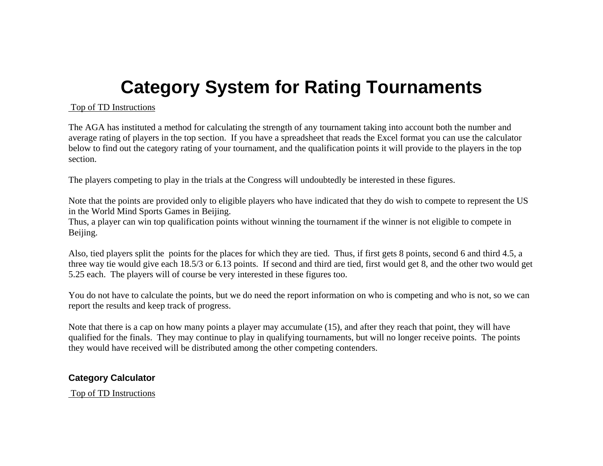## **Category System for Rating Tournaments**

#### Top of TD Instructions

The AGA has instituted a method for calculating the strength of any tournament taking into account both the number and average rating of players in the top section. If you have a spreadsheet that reads the Excel format you can use the calculator below to find out the category rating of your tournament, and the qualification points it will provide to the players in the to p section.

The players competing to play in the trials at the Congress will undoubtedly be interested in these figures.

Note that the points are provided only to eligible players who have indicated that they do wish to compete to represent the US in the World Mind Sports Games in Beijing.

Thus, a player can win top qualification points without winning the tournament if the winner is not eligible to compete in Beijing.

Also, tied players split the points for the places for which they are tied. Thus, if first gets 8 points, second 6 and third 4.5, a three way tie would give each 18.5/3 or 6.13 points. If second and third are tied, first would get 8, and the other two would get 5.25 each. The players will of course be very interested in these figures too.

You do not have to calculate the points, but we do need the report information on who is competing and who is not, so we can report the results and keep track of progress.

Note that there is a cap on how many points a player may accumulate (15), and after they reach that point, they will have qualified for the finals. They may continue to play in qualifying tournaments, but will no longer receive points. The points they would have received will be distributed among the other competing contenders.

### **Category Calculator**

Top of TD Instructions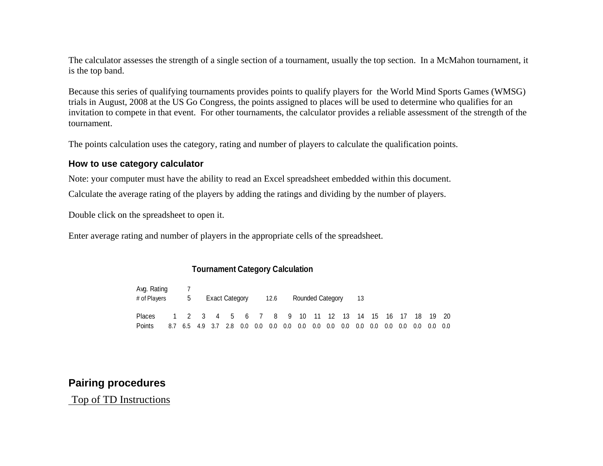The calculator assesses the strength of a single section of a tournament, usually the top section. In a McMahon tournament, it is the top band.

Because this series of qualifying tournaments provides points to qualify players for the World Mind Sports Games (WMSG) trials in August, 2008 at the US Go Congress, the points assigned to places will be used to determine who qualifies for an invitation to compete in that event. For other tournaments, the calculator provides a reliable assessment of the strength of the tournament.

The points calculation uses the category, rating and number of players to calculate the qualification points.

#### **How to use category calculator**

Note: your computer must have the ability to read an Excel spreadsheet embedded within this document. Calculate the average rating of the players by adding the ratings and dividing by the number of players.

Double click on the spreadsheet to open it.

Enter average rating and number of players in the appropriate cells of the spreadsheet.

#### **Tournament Category Calculation**

| Avg. Rating<br># of Players | $5^{\circ}$ |         | Exact Category                            |         |     | 12.6    |         | Rounded Category |         |     |     | 13      |         |     |     |     |          |     |
|-----------------------------|-------------|---------|-------------------------------------------|---------|-----|---------|---------|------------------|---------|-----|-----|---------|---------|-----|-----|-----|----------|-----|
| Places                      |             |         | 1 2 3 4 5 6 7 8 9 10 11 12 13 14 15 16 17 |         |     |         |         |                  |         |     |     |         |         |     |     |     | 18 19 20 |     |
| Points                      | 6.5         | 4.9 3.7 | 2.8                                       | $0.0\,$ | 0.0 | $0.0\,$ | $0.0\,$ | $0.0\,$          | $0.0\,$ | 0.0 | 0.0 | $0.0\,$ | $0.0\,$ | 0.0 | 0.0 | 0.0 | 0.0      | 0.0 |

### **Pairing procedures**

Top of TD Instructions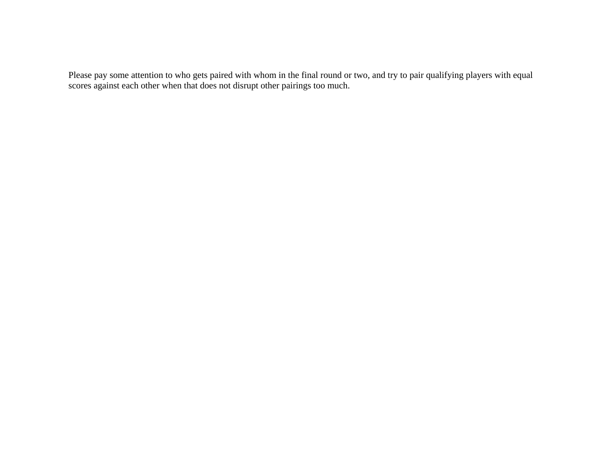Please pay some attention to who gets paired with whom in the final round or two, and try to pair qualifying players with equal scores against each other when that does not disrupt other pairings too much.